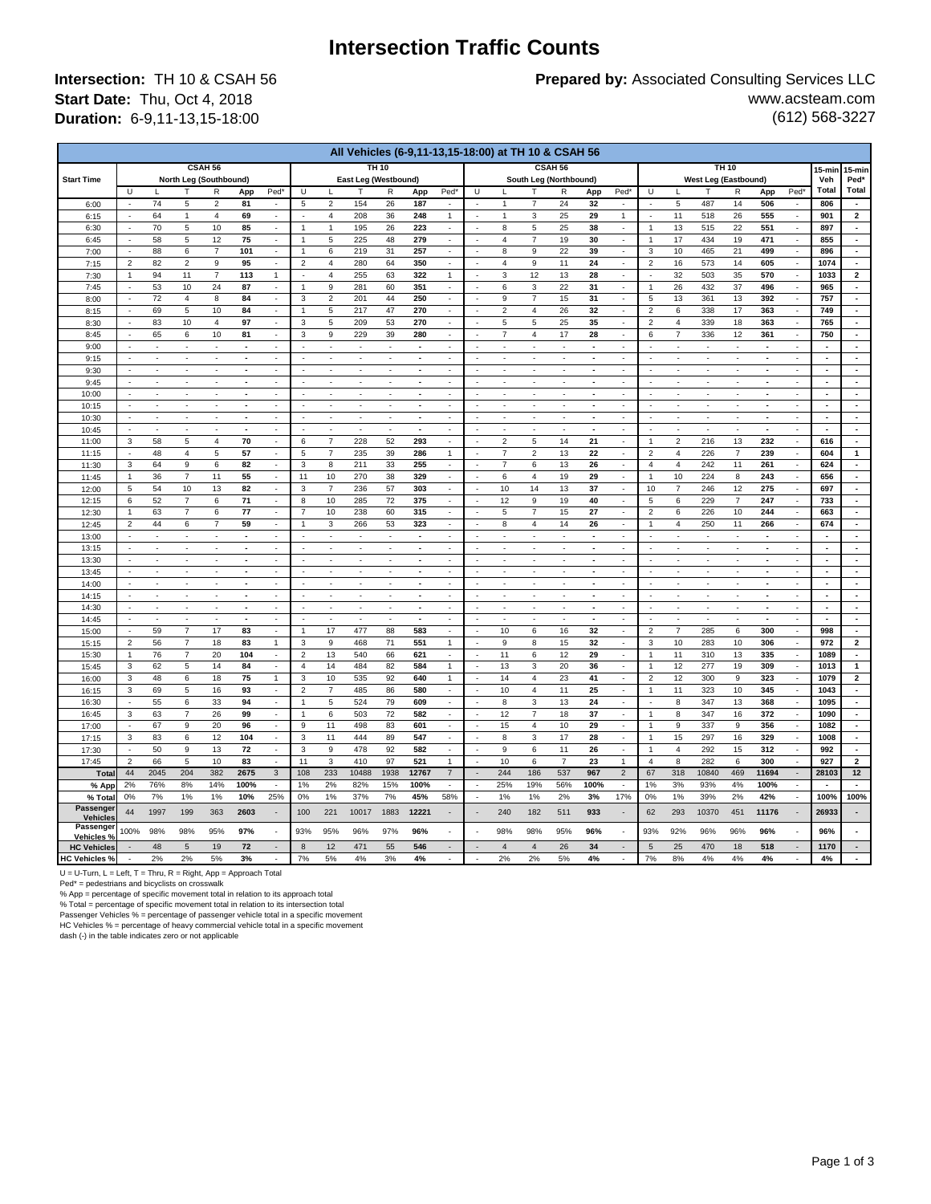## **Intersection Traffic Counts**

**Intersection:** TH 10 & CSAH 56 **Start Date:** Thu, Oct 4, 2018 **Duration:** 6-9,11-13,15-18:00

**Prepared by:** Associated Consulting Services LLC www.acsteam.com (612) 568-3227

|                       | All Vehicles (6-9,11-13,15-18:00) at TH 10 & CSAH 56<br><b>TH 10</b> |                             |                                             |                          |                          |                                                         |                                  |                             |                                       |                          |                          |                                                      |                          |                          |                          |                          |                                  |                                    |                              |                           |                          |                          |                                  |                                                      |                          |                                  |
|-----------------------|----------------------------------------------------------------------|-----------------------------|---------------------------------------------|--------------------------|--------------------------|---------------------------------------------------------|----------------------------------|-----------------------------|---------------------------------------|--------------------------|--------------------------|------------------------------------------------------|--------------------------|--------------------------|--------------------------|--------------------------|----------------------------------|------------------------------------|------------------------------|---------------------------|--------------------------|--------------------------|----------------------------------|------------------------------------------------------|--------------------------|----------------------------------|
|                       | <b>CSAH 56</b><br>TH 10                                              |                             |                                             |                          |                          |                                                         |                                  |                             |                                       |                          |                          |                                                      | CSAH 56                  |                          |                          |                          |                                  |                                    |                              |                           |                          |                          |                                  | 15-min                                               | 15-min                   |                                  |
| <b>Start Time</b>     |                                                                      |                             | North Leg (Southbound)                      |                          |                          |                                                         |                                  |                             | East Leg (Westbound)                  |                          |                          |                                                      |                          |                          | South Leg (Northbound)   |                          |                                  |                                    |                              |                           | West Leg (Eastbound)     |                          | Veh                              | Ped*                                                 |                          |                                  |
|                       | $\overline{U}$                                                       |                             |                                             | R                        | App                      | Ped <sup>*</sup>                                        | Ū                                |                             |                                       | R                        | App                      | Ped <sup>*</sup>                                     | $\overline{U}$           |                          |                          | R                        | App                              | Ped <sup>®</sup>                   | $\overline{U}$               |                           |                          | R                        | App                              | Ped <sup>®</sup>                                     | Total                    | Total                            |
| 6:00                  | ÷,                                                                   | 74                          | 5                                           | $\sqrt{2}$               | 81                       | $\sim$                                                  | $\sqrt{5}$                       | $\overline{c}$              | 154                                   | 26                       | 187                      | $\sim$                                               |                          | $\mathbf{1}$             | $\overline{7}$           | 24                       | 32                               | ×.                                 | ٠                            | 5                         | 487                      | 14                       | 506                              | ×.                                                   | 806                      |                                  |
| 6:15                  |                                                                      | 64                          | $\mathbf{1}$                                | $\overline{4}$           | 69                       | $\mathbf{r}$                                            |                                  | $\sqrt{4}$                  | 208                                   | 36                       | 248                      | $\mathbf{1}$                                         |                          | $\overline{1}$           | 3                        | 25                       | 29                               | $\mathbf{1}$                       |                              | 11                        | 518                      | 26                       | 555                              | ä,                                                   | 901                      | $\mathbf{2}$                     |
| 6:30                  | ä,<br>÷,                                                             | 70<br>58                    | $\mathbf 5$<br>5                            | 10<br>12                 | 85<br>75                 | $\overline{\phantom{a}}$<br>$\overline{\phantom{a}}$    | $\overline{1}$<br>$\overline{1}$ | $\mathbf{1}$<br>$\sqrt{5}$  | 195<br>225                            | 26<br>48                 | 223<br>279               | $\overline{\phantom{a}}$<br>$\overline{\phantom{a}}$ |                          | 8<br>$\overline{4}$      | 5<br>$\overline{7}$      | 25<br>19                 | 38<br>30                         | $\overline{\phantom{a}}$<br>$\sim$ | $\mathbf{1}$<br>$\mathbf{1}$ | 13<br>17                  | 515<br>434               | 22<br>19                 | 551<br>471                       | $\overline{\phantom{a}}$<br>$\overline{\phantom{a}}$ | 897<br>855               | $\blacksquare$<br>$\blacksquare$ |
| 6:45<br>7:00          | $\overline{\phantom{a}}$                                             | 88                          | 6                                           | $\overline{\mathcal{I}}$ | 101                      | $\blacksquare$                                          | $\mathbf{1}$                     | 6                           | 219                                   | 31                       | 257                      | $\blacksquare$                                       |                          | 8                        | 9                        | 22                       | 39                               | $\overline{\phantom{a}}$           | 3                            | 10                        | 465                      | 21                       | 499                              | $\blacksquare$                                       | 896                      | $\blacksquare$                   |
| 7:15                  | $\mathbf 2$                                                          | 82                          | $\overline{2}$                              | 9                        | 95                       | $\overline{\phantom{a}}$                                | $\sqrt{2}$                       | $\sqrt{4}$                  | 280                                   | 64                       | 350                      | $\blacksquare$                                       |                          | $\overline{4}$           | 9                        | 11                       | 24                               | $\overline{\phantom{a}}$           | $\boldsymbol{2}$             | 16                        | 573                      | 14                       | 605                              | $\blacksquare$                                       | 1074                     | $\sim$                           |
| 7:30                  | $\overline{1}$                                                       | 94                          | 11                                          | $\overline{7}$           | 113                      | $\mathbf{1}$                                            | ÷,                               | $\overline{4}$              | 255                                   | 63                       | 322                      | $\mathbf{1}$                                         |                          | 3                        | 12                       | 13                       | 28                               | $\sim$                             | ä,                           | 32                        | 503                      | 35                       | 570                              | $\overline{\phantom{a}}$                             | 1033                     | $\mathbf{2}$                     |
| 7:45                  | ä,                                                                   | 53                          | 10                                          | 24                       | 87                       | $\overline{\phantom{a}}$                                |                                  | $\boldsymbol{9}$            | 281                                   | 60                       | 351                      | $\overline{\phantom{a}}$                             |                          | 6                        | 3                        | 22                       | 31                               | $\overline{\phantom{a}}$           | $\mathbf{1}$                 | 26                        | 432                      | 37                       | 496                              | $\overline{\phantom{a}}$                             | 965                      | $\blacksquare$                   |
| 8:00                  |                                                                      | 72                          | $\overline{4}$                              | 8                        | 84                       | $\mathcal{L}_{\mathcal{A}}$                             | 3                                | $\overline{2}$              | 201                                   | 44                       | 250                      | $\overline{\phantom{a}}$                             |                          | 9                        | $\overline{7}$           | 15                       | 31                               | ÷.                                 | 5                            | 13                        | 361                      | 13                       | 392                              | ÷.                                                   | 757                      |                                  |
| 8:15                  | ÷,                                                                   | 69                          | 5                                           | 10                       | 84                       | $\sim$                                                  |                                  | 5                           | 217                                   | 47                       | 270                      | $\sim$                                               |                          | $\sqrt{2}$               | 4                        | 26                       | 32                               | ٠                                  | $\overline{2}$               | 6                         | 338                      | 17                       | 363                              | $\overline{\phantom{a}}$                             | 749                      |                                  |
| 8:30                  |                                                                      | 83                          | 10                                          | $\overline{4}$           | 97                       | $\overline{\phantom{a}}$                                | 3                                | 5                           | 209                                   | 53                       | 270                      | $\overline{\phantom{a}}$                             |                          | $\sqrt{5}$               | 5                        | 25                       | 35                               | ÷,                                 | $\overline{2}$               | $\overline{4}$            | 339                      | 18                       | 363                              | ÷,                                                   | 765                      |                                  |
| 8:45                  |                                                                      | 65                          | 6                                           | 10                       | 81                       | $\overline{\phantom{a}}$                                | 3                                | $\mathsf g$                 | 229                                   | 39                       | 280                      | $\overline{\phantom{a}}$                             |                          | $\overline{7}$           | $\overline{4}$           | 17                       | 28                               | ÷,                                 | 6                            | $\overline{\mathcal{I}}$  | 336                      | 12                       | 361                              | ÷,                                                   | 750                      |                                  |
| 9:00                  |                                                                      | L.                          | ä,                                          | J.                       | $\overline{\phantom{a}}$ | $\overline{\phantom{a}}$                                |                                  | J.                          | L.                                    | J.                       | $\overline{\phantom{a}}$ | $\overline{\phantom{a}}$                             |                          | ÷,                       |                          | L.                       | $\overline{\phantom{a}}$         | ÷.                                 |                              | ä,                        | ÷,                       | ÷,                       | $\overline{\phantom{a}}$         | $\overline{a}$                                       |                          |                                  |
| 9:15                  | $\overline{\phantom{a}}$                                             | $\overline{\phantom{a}}$    | ÷.                                          | $\overline{\phantom{a}}$ | $\blacksquare$           | $\overline{\phantom{a}}$                                | ÷,                               | $\overline{\phantom{a}}$    | $\overline{\phantom{a}}$              | $\sim$                   | $\blacksquare$           | $\overline{\phantom{a}}$                             |                          | $\overline{\phantom{a}}$ | $\overline{\phantom{a}}$ | $\overline{\phantom{a}}$ | $\blacksquare$                   | $\sim$                             | $\overline{\phantom{a}}$     | $\overline{\phantom{a}}$  | $\overline{\phantom{a}}$ | $\overline{\phantom{a}}$ | $\blacksquare$                   | $\overline{\phantom{a}}$                             | $\overline{\phantom{a}}$ | $\sim$                           |
| 9:30                  | $\sim$                                                               | $\sim$                      | $\sim$                                      | ÷                        | $\sim$                   | $\sim$                                                  | ÷.                               | $\sim$                      | $\mathcal{L}_{\mathcal{A}}$           | ÷.                       | $\sim$                   | $\sim$                                               |                          | $\sim$                   | $\overline{\phantom{a}}$ | $\overline{\phantom{a}}$ | $\mathbf{r}$                     | ÷                                  | $\sim$                       | ÷                         | ÷                        | $\sim$                   | $\sim$                           | $\sim$                                               | $\sim$                   | $\sim$                           |
| 9:45                  | ä,                                                                   | $\overline{\phantom{a}}$    | ä,                                          |                          | $\overline{a}$           | $\overline{\phantom{a}}$                                |                                  | $\overline{a}$              | $\overline{\phantom{a}}$              | ÷,                       | $\sim$                   | $\overline{\phantom{a}}$                             |                          | $\sim$                   | $\overline{\phantom{a}}$ |                          | $\blacksquare$                   | ä,                                 | ä,                           | $\overline{\phantom{a}}$  | ä,                       | ÷,                       | ä,                               | $\overline{\phantom{a}}$                             | $\overline{a}$           | $\blacksquare$                   |
| 10:00                 | $\sim$                                                               | $\sim$                      | ÷.                                          | ÷,                       | $\sim$                   | $\epsilon$                                              | ÷.                               | $\sim$                      | $\mathcal{L}_{\mathcal{A}}$           | ÷.                       | $\mathbf{r}$             | $\sim$                                               |                          | $\sim$                   | ÷                        | $\sim$                   | $\mathbf{r}$                     | ÷.                                 | ÷,                           | ÷                         | ÷                        | $\sim$                   | ÷.                               | ÷.                                                   | $\sim$                   | $\blacksquare$                   |
| 10:15                 | ÷,                                                                   | $\lambda$<br>÷,             | ä,<br>ä,                                    | ÷.                       | ÷.                       | $\mathcal{L}_{\mathcal{A}}$<br>$\overline{\phantom{a}}$ |                                  | ÷.<br>ä,                    | $\lambda$<br>$\overline{\phantom{a}}$ |                          | $\sim$                   | ÷.<br>$\sim$                                         |                          | $\overline{\phantom{a}}$ |                          |                          | $\overline{a}$<br>$\blacksquare$ | ÷.<br>÷.                           |                              | ÷.                        | ÷.                       | ÷.                       | $\overline{a}$<br>$\blacksquare$ | ×.<br>×.                                             | ÷.<br>ä,                 | ÷.                               |
| 10:30                 |                                                                      |                             |                                             |                          |                          | L.                                                      |                                  |                             |                                       | ÷,                       |                          | $\mathcal{L}_{\mathcal{A}}$                          |                          |                          |                          |                          |                                  | ÷,                                 |                              | ٠                         | ٠                        | J.                       | ä,                               | ä,                                                   |                          |                                  |
| 10:45<br>11:00        | 3                                                                    | 58                          | 5                                           | $\sqrt{4}$               | 70                       | $\overline{\phantom{a}}$                                | 6                                | $\overline{7}$              | 228                                   | 52                       | 293                      | $\overline{\phantom{a}}$                             |                          | $\overline{2}$           | 5                        | 14                       | 21                               | ä,                                 | $\mathbf{1}$                 | $\overline{c}$            | 216                      | 13                       | 232                              | $\overline{\phantom{a}}$                             | 616                      |                                  |
| 11:15                 | J.                                                                   | 48                          | $\overline{4}$                              | $\overline{5}$           | 57                       | $\mathbf{r}$                                            | 5                                | $\overline{7}$              | 235                                   | 39                       | 286                      | $\mathbf{1}$                                         |                          | $\overline{7}$           | $\overline{c}$           | 13                       | 22                               | ä,                                 | $\overline{2}$               | $\overline{4}$            | 226                      | $\overline{7}$           | 239                              | ÷.                                                   | 604                      | $\mathbf{1}$                     |
| 11:30                 | 3                                                                    | 64                          | 9                                           | 6                        | 82                       | $\overline{\phantom{a}}$                                | 3                                | 8                           | 211                                   | 33                       | 255                      | $\overline{\phantom{a}}$                             |                          | $\overline{7}$           | 6                        | 13                       | 26                               | ÷                                  | 4                            | $\overline{4}$            | 242                      | 11                       | 261                              | ÷                                                    | 624                      |                                  |
| 11:45                 | $\mathbf{1}$                                                         | 36                          | $\overline{7}$                              | 11                       | 55                       | $\overline{\phantom{a}}$                                | 11                               | 10                          | 270                                   | 38                       | 329                      | $\blacksquare$                                       | $\overline{\phantom{a}}$ | 6                        | 4                        | 19                       | 29                               | $\sim$                             | $\mathbf{1}$                 | 10                        | 224                      | 8                        | 243                              | $\blacksquare$                                       | 656                      | $\sim$                           |
| 12:00                 | $\sqrt{5}$                                                           | 54                          | 10                                          | 13                       | 82                       | $\epsilon$                                              | 3                                | $\overline{7}$              | 236                                   | 57                       | 303                      | $\overline{\phantom{a}}$                             | $\sim$                   | 10                       | 14                       | 13                       | 37                               | $\sim$                             | 10                           | $\overline{\mathcal{I}}$  | 246                      | 12                       | 275                              | $\blacksquare$                                       | 697                      | $\blacksquare$                   |
| 12:15                 | $\boldsymbol{6}$                                                     | 52                          | $\overline{7}$                              | $\,6\,$                  | 71                       | $\overline{\phantom{a}}$                                | 8                                | 10                          | 285                                   | 72                       | 375                      | $\mathbf{r}$                                         | $\overline{\phantom{a}}$ | 12                       | 9                        | 19                       | 40                               | $\sim$                             | 5                            | 6                         | 229                      | $\overline{7}$           | 247                              | $\mathcal{L}_{\mathcal{A}}$                          | 733                      | $\blacksquare$                   |
| 12:30                 | 1                                                                    | 63                          | $\overline{7}$                              | 6                        | $\overline{77}$          | $\mathcal{L}_{\mathcal{A}}$                             | $\overline{7}$                   | 10                          | 238                                   | 60                       | 315                      | ٠                                                    |                          | 5                        | $\overline{7}$           | 15                       | 27                               | ÷.                                 | $\overline{2}$               | 6                         | 226                      | 10                       | 244                              | ÷.                                                   | 663                      |                                  |
| 12:45                 | $\boldsymbol{2}$                                                     | 44                          | 6                                           | $\overline{7}$           | 59                       | $\overline{\phantom{a}}$                                | $\mathbf{1}$                     | $\sqrt{3}$                  | 266                                   | 53                       | 323                      | $\sim$                                               |                          | 8                        | 4                        | 14                       | 26                               | $\overline{\phantom{a}}$           | 1                            | $\overline{\mathbf{4}}$   | 250                      | 11                       | 266                              | $\blacksquare$                                       | 674                      | $\blacksquare$                   |
| 13:00                 |                                                                      | Ĭ.                          |                                             |                          |                          | L.                                                      |                                  |                             |                                       |                          |                          | $\mathcal{L}_{\mathcal{A}}$                          |                          |                          |                          |                          |                                  | ä,                                 |                              |                           |                          |                          |                                  | ä,                                                   |                          |                                  |
| 13:15                 |                                                                      | ÷,                          | ÷,                                          | ÷,                       | ÷,                       | $\overline{\phantom{a}}$                                |                                  |                             | $\overline{a}$                        | ÷,                       |                          | $\mathcal{L}_{\mathcal{A}}$                          |                          |                          |                          |                          | $\blacksquare$                   | ä,                                 |                              |                           | ÷,                       | ÷,                       | ä,                               | $\overline{\phantom{a}}$                             |                          |                                  |
| 13:30                 | J.                                                                   | ä,                          | ÷.                                          | J.                       | ÷,                       | $\mathbf{r}$                                            |                                  | ÷,                          | ä,                                    | ÷,                       | $\overline{\phantom{a}}$ | $\mathbf{r}$                                         |                          | $\overline{\phantom{a}}$ |                          |                          | ÷,                               | ä,                                 | ÷,                           | ä,                        | ä,                       | L.                       | $\overline{\phantom{a}}$         | ÷.                                                   | ÷,                       | ÷,                               |
| 13:45                 | ÷,                                                                   |                             | ä,                                          |                          | ä,                       | $\overline{\phantom{a}}$                                |                                  | ä,                          | $\overline{\phantom{a}}$              |                          |                          | ٠                                                    |                          |                          |                          |                          | $\blacksquare$                   | $\overline{\phantom{a}}$           |                              |                           | ÷,                       |                          |                                  | $\overline{\phantom{a}}$                             | ä,                       |                                  |
| 14:00                 | ä,                                                                   | $\overline{a}$              | ä,                                          | Ŀ,                       | $\blacksquare$           | $\overline{\phantom{a}}$                                |                                  | ä,                          | $\overline{\phantom{a}}$              | $\sim$                   | $\blacksquare$           | $\overline{\phantom{a}}$                             |                          | $\overline{\phantom{a}}$ | $\overline{\phantom{a}}$ | $\overline{\phantom{a}}$ | $\overline{\phantom{a}}$         | ä,                                 |                              | $\overline{\phantom{a}}$  | ä,                       | $\overline{\phantom{a}}$ | $\blacksquare$                   | $\overline{\phantom{a}}$                             | $\overline{a}$           |                                  |
| 14:15                 | ÷,                                                                   | $\overline{\phantom{a}}$    | ä,                                          | ÷,                       | $\overline{a}$           | $\overline{\phantom{a}}$                                | ÷,                               | $\overline{a}$              | $\overline{\phantom{a}}$              | $\overline{\phantom{a}}$ | $\sim$                   | $\overline{\phantom{a}}$                             |                          | $\sim$                   | $\overline{\phantom{a}}$ | $\overline{\phantom{a}}$ | $\mathbf{r}$                     | ä,                                 | ä,                           | $\overline{\phantom{a}}$  | $\overline{\phantom{a}}$ | $\blacksquare$           | ä,                               | $\overline{\phantom{a}}$                             | $\overline{a}$           | $\blacksquare$                   |
| 14:30                 | $\sim$                                                               | $\mathcal{L}_{\mathcal{A}}$ | ÷.                                          | $\sim$                   | $\sim$                   | $\mathcal{L}_{\mathcal{A}}$                             | $\overline{\phantom{a}}$         | $\mathcal{L}_{\mathcal{A}}$ | $\mathcal{L}_{\mathcal{A}}$           | $\sim$                   | $\mathbf{r}$             | $\mathbf{r}$                                         | $\overline{\phantom{a}}$ | $\sim$                   | ÷                        | $\sim$                   | $\mathbf{r}$                     | ÷                                  | ÷                            | ÷                         | ÷                        | $\overline{\phantom{a}}$ | $\sim$                           | $\overline{\phantom{a}}$                             | $\blacksquare$           | $\blacksquare$                   |
| 14:45                 | ÷.                                                                   | $\lambda$                   | ä,                                          | ÷,                       | $\overline{a}$           | ÷                                                       | ÷.                               | ÷,                          | $\overline{\phantom{a}}$              | ÷.                       | ÷.                       | ÷                                                    |                          | $\overline{a}$           |                          | $\overline{a}$           | $\sim$                           | ÷.                                 | ÷.                           | ÷.                        | ÷.                       | ÷,                       | ÷                                | $\mathcal{L}_{\mathcal{A}}$                          | $\overline{a}$           |                                  |
| 15:00                 | ÷,                                                                   | 59                          | $\overline{\mathfrak{c}}$<br>$\overline{7}$ | 17                       | 83                       | $\mathcal{L}_{\mathcal{A}}$<br>$\mathbf{1}$             | $\overline{1}$                   | 17                          | 477                                   | 88                       | 583                      | $\mathcal{L}_{\mathcal{A}}$                          |                          | 10                       | 6                        | 16                       | 32                               | ÷<br>$\overline{\phantom{a}}$      | $\boldsymbol{2}$             | $\overline{\mathfrak{c}}$ | 285                      | 6                        | 300<br>306                       | ÷.<br>$\overline{\phantom{a}}$                       | 998<br>972               | $\blacksquare$                   |
| 15:15<br>15:30        | $\sqrt{2}$<br>$\mathbf{1}$                                           | 56<br>76                    | $\overline{7}$                              | 18<br>20                 | 83<br>104                | $\overline{\phantom{a}}$                                | 3<br>$\overline{2}$              | 9<br>13                     | 468<br>540                            | 71<br>66                 | 551<br>621               | $\mathbf{1}$<br>$\overline{\phantom{a}}$             |                          | 9<br>11                  | 8<br>6                   | 15<br>12                 | 32<br>29                         | ÷.                                 | $\mathsf 3$<br>$\mathbf{1}$  | 10<br>11                  | 283<br>310               | 10<br>13                 | 335                              | $\overline{\phantom{a}}$                             | 1089                     | $\mathbf 2$<br>$\overline{a}$    |
| 15:45                 | $\mathbf{3}$                                                         | 62                          | 5                                           | 14                       | 84                       | $\mathbf{r}$                                            | $\overline{4}$                   | 14                          | 484                                   | 82                       | 584                      | $\mathbf{1}$                                         |                          | 13                       | 3                        | 20                       | 36                               | ä,                                 | $\mathbf{1}$                 | 12                        | 277                      | 19                       | 309                              | $\overline{a}$                                       | 1013                     | $\mathbf{1}$                     |
| 16:00                 | 3                                                                    | 48                          | 6                                           | 18                       | 75                       | $\mathbf{1}$                                            | 3                                | 10                          | 535                                   | 92                       | 640                      | $\mathbf{1}$                                         |                          | 14                       | $\overline{4}$           | 23                       | 41                               | $\sim$                             | $\overline{2}$               | 12                        | 300                      | 9                        | 323                              | $\blacksquare$                                       | 1079                     | $\mathbf{2}$                     |
| 16:15                 | 3                                                                    | 69                          | 5                                           | 16                       | 93                       | $\overline{\phantom{a}}$                                | $\boldsymbol{2}$                 | $\overline{7}$              | 485                                   | 86                       | 580                      | $\mathcal{L}_{\mathcal{A}}$                          | ÷.                       | 10                       | $\overline{4}$           | 11                       | 25                               | $\sim$                             | $\mathbf{1}$                 | 11                        | 323                      | 10                       | 345                              | $\sim$                                               | 1043                     | $\blacksquare$                   |
| 16:30                 | $\overline{a}$                                                       | 55                          | 6                                           | 33                       | 94                       | $\overline{\phantom{a}}$                                | $\mathbf{1}$                     | 5                           | 524                                   | 79                       | 609                      | $\overline{\phantom{a}}$                             |                          | 8                        | 3                        | 13                       | 24                               | ÷.                                 | ä,                           | 8                         | 347                      | 13                       | 368                              | $\blacksquare$                                       | 1095                     | $\blacksquare$                   |
| 16:45                 | $\mathbf 3$                                                          | 63                          | $\overline{7}$                              | 26                       | 99                       | $\overline{\phantom{a}}$                                | $\overline{1}$                   | $\,6\,$                     | 503                                   | 72                       | 582                      | $\overline{\phantom{a}}$                             | $\overline{\phantom{a}}$ | 12                       | $\overline{7}$           | 18                       | 37                               | ÷.                                 | $\mathbf{1}$                 | 8                         | 347                      | 16                       | 372                              | $\overline{\phantom{a}}$                             | 1090                     | $\blacksquare$                   |
| 17:00                 | ÷,                                                                   | 67                          | 9                                           | 20                       | 96                       | $\mathcal{L}_{\mathcal{A}}$                             | 9                                | 11                          | 498                                   | 83                       | 601                      | $\mathcal{L}_{\mathcal{A}}$                          |                          | 15                       | 4                        | 10                       | 29                               | ×.                                 | $\mathbf{1}$                 | 9                         | 337                      | $\mathsf g$              | 356                              | ٠                                                    | 1082                     |                                  |
| 17:15                 | $\mathbf 3$                                                          | 83                          | 6                                           | 12                       | 104                      | $\sim$                                                  | 3                                | 11                          | 444                                   | 89                       | 547                      | $\sim$                                               |                          | 8                        | 3                        | 17                       | 28                               | $\overline{\phantom{a}}$           | $\mathbf{1}$                 | 15                        | 297                      | 16                       | 329                              | $\overline{\phantom{a}}$                             | 1008                     | $\blacksquare$                   |
| 17:30                 | ÷,                                                                   | 50                          | 9                                           | 13                       | 72                       | $\mathcal{L}$                                           | 3                                | $\boldsymbol{9}$            | 478                                   | 92                       | 582                      | $\overline{a}$                                       |                          | $\mathsf g$              | 6                        | 11                       | 26                               | $\overline{\phantom{a}}$           | $\mathbf{1}$                 | $\overline{\mathbf{4}}$   | 292                      | 15                       | 312                              | ä,                                                   | 992                      | $\overline{\phantom{a}}$         |
| 17:45                 | $\sqrt{2}$                                                           | 66                          | 5                                           | 10                       | 83                       | $\overline{\phantom{a}}$                                | 11                               | $_{\rm 3}$                  | 410                                   | 97                       | 521                      | $\mathbf{1}$                                         | $\overline{\phantom{a}}$ | 10                       | 6                        | $\overline{7}$           | 23                               | $\mathbf{1}$                       | $\sqrt{4}$                   | 8                         | 282                      | 6                        | 300                              | $\mathcal{L}_{\mathcal{A}}$                          | 927                      | $\mathbf 2$                      |
| Tota                  | 44                                                                   | 2045                        | 204                                         | 382                      | 2675                     | $\overline{3}$                                          | 108                              | 233                         | 10488                                 | 1938                     | 12767                    | $\overline{7}$                                       |                          | 244                      | 186                      | 537                      | 967                              | $\overline{2}$                     | 67                           | 318                       | 10840                    | 469                      | 11694                            | $\mathbf{r}$                                         | 28103                    | 12                               |
| % App                 | 2%                                                                   | 76%                         | 8%                                          | 14%                      | 100%                     | $\overline{\phantom{a}}$                                | 1%                               | 2%                          | 82%                                   | 15%                      | 100%                     | ÷                                                    |                          | 25%                      | 19%                      | 56%                      | 100%                             | $\overline{\phantom{a}}$           | 1%                           | 3%                        | 93%                      | 4%                       | 100%                             | $\overline{\phantom{a}}$                             |                          |                                  |
| % Tota                | 0%                                                                   | 7%                          | 1%                                          | 1%                       | 10%                      | 25%                                                     | 0%                               | 1%                          | 37%                                   | 7%                       | 45%                      | 58%                                                  |                          | 1%                       | 1%                       | 2%                       | 3%                               | 17%                                | 0%                           | 1%                        | 39%                      | 2%                       | 42%                              | $\overline{\phantom{a}}$                             | 100%                     | 100%                             |
| Passenger             | 44                                                                   | 1997                        | 199                                         | 363                      | 2603                     | $\overline{\phantom{a}}$                                | 100                              | 221                         | 10017                                 | 1883                     | 12221                    | $\overline{\phantom{a}}$                             |                          | 240                      | 182                      | 511                      | 933                              | $\overline{\phantom{a}}$           | 62                           | 293                       | 10370                    | 451                      | 11176                            | $\overline{\phantom{a}}$                             | 26933                    |                                  |
| Vehicle:<br>Passenger |                                                                      |                             |                                             |                          |                          |                                                         |                                  |                             |                                       |                          |                          |                                                      |                          |                          |                          |                          |                                  |                                    |                              |                           |                          |                          |                                  |                                                      |                          |                                  |
| Vehicles %            | 100%                                                                 | 98%                         | 98%                                         | 95%                      | 97%                      | L.                                                      | 93%                              | 95%                         | 96%                                   | 97%                      | 96%                      |                                                      |                          | 98%                      | 98%                      | 95%                      | 96%                              | ä,                                 | 93%                          | 92%                       | 96%                      | 96%                      | 96%                              |                                                      | 96%                      |                                  |
| <b>HC Vehicles</b>    |                                                                      | 48                          | $\overline{5}$                              | 19                       | 72                       | $\overline{\phantom{a}}$                                | $\bf8$                           | 12                          | 471                                   | 55                       | 546                      | $\mathcal{L}$                                        |                          | $\overline{\mathbf{4}}$  | $\overline{4}$           | 26                       | 34                               | $\overline{\phantom{a}}$           | $\sqrt{5}$                   | 25                        | 470                      | 18                       | 518                              | $\overline{\phantom{a}}$                             | 1170                     |                                  |
| HC Vehicles %         |                                                                      | 2%                          | 2%                                          | 5%                       | 3%                       | $\overline{\phantom{a}}$                                | 7%                               | 5%                          | 4%                                    | 3%                       | 4%                       | $\overline{\phantom{a}}$                             |                          | 2%                       | 2%                       | 5%                       | 4%                               | ÷,                                 | 7%                           | 8%                        | 4%                       | 4%                       | 4%                               |                                                      | $4\%$                    |                                  |

U = U-Turn, L = Left, T = Thru, R = Right, App = Approach Total Ped\* = pedestrians and bicyclists on crosswalk

% App = percentage of specific movement total in relation to its approach total<br>% Total = percentage of specific movement total in relation to its intersection total<br>Passenger Vehicles % = percentage of passenger vehicle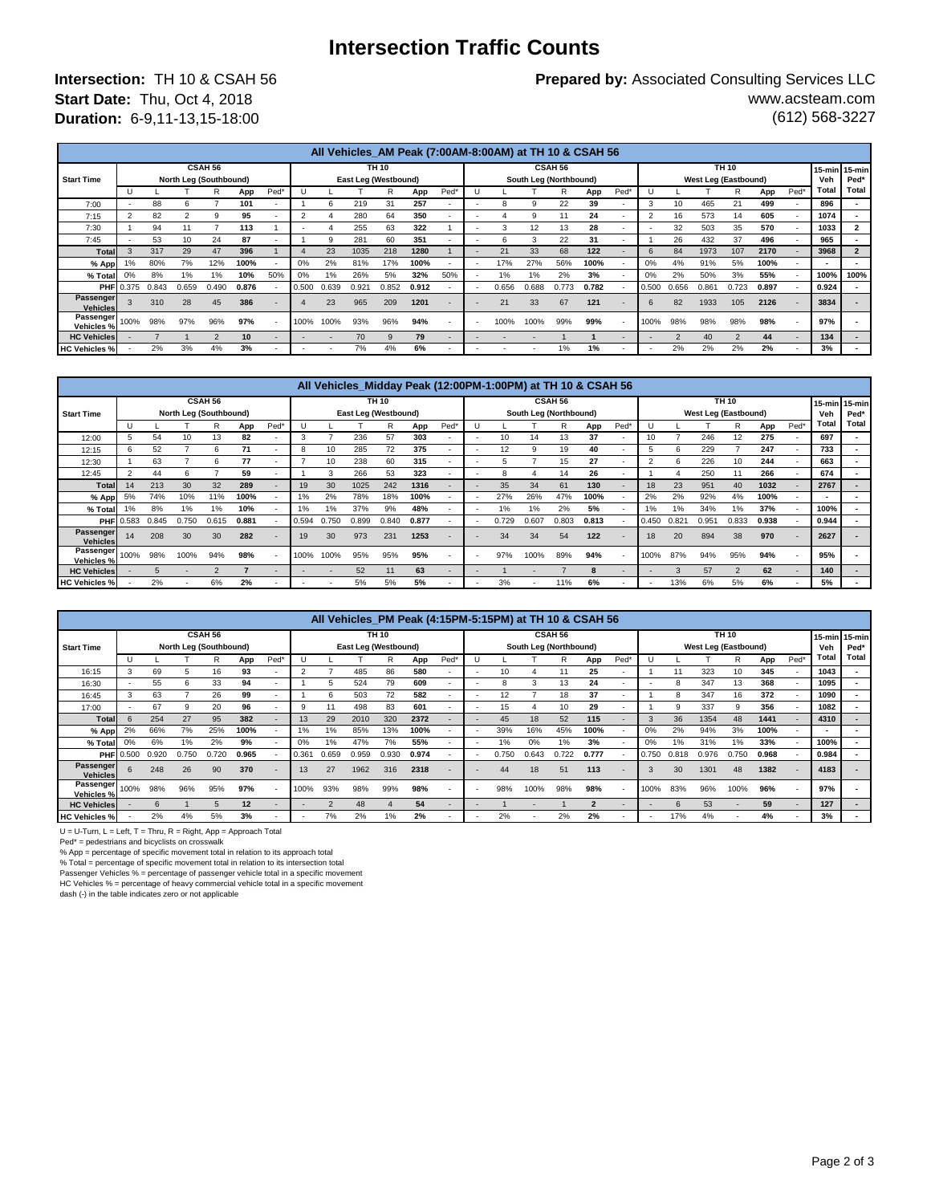## **Intersection Traffic Counts**

**Intersection:** TH 10 & CSAH 56 **Start Date:** Thu, Oct 4, 2018 **Duration:** 6-9,11-13,15-18:00

**Prepared by:** Associated Consulting Services LLC www.acsteam.com (612) 568-3227

|                              | All Vehicles AM Peak (7:00AM-8:00AM) at TH 10 & CSAH 56 |       |       |       |       |      |       |                      |       |       |       |                          |  |                        |       |                |       |      |       |                 |                      |                |               |      |       |       |  |  |
|------------------------------|---------------------------------------------------------|-------|-------|-------|-------|------|-------|----------------------|-------|-------|-------|--------------------------|--|------------------------|-------|----------------|-------|------|-------|-----------------|----------------------|----------------|---------------|------|-------|-------|--|--|
|                              | CSAH 56                                                 |       |       |       |       |      |       | TH 10                |       |       |       |                          |  |                        |       | <b>CSAH 56</b> |       |      |       |                 |                      |                | 15-min 15-min |      |       |       |  |  |
| <b>Start Time</b>            | North Leg (Southbound)                                  |       |       |       |       |      |       | East Leg (Westbound) |       |       |       |                          |  | South Leg (Northbound) |       |                |       |      |       |                 | West Leg (Eastbound) |                |               |      |       |       |  |  |
|                              |                                                         |       |       |       | App   | Ped* |       |                      |       |       | App   | Ped*                     |  |                        |       |                | App   | Ped* |       |                 |                      | R              | App           | Ped* | Total | Total |  |  |
| 7:00                         |                                                         | 88    |       |       | 101   |      |       | ĥ                    | 219   | 31    | 257   |                          |  |                        |       | 22             | 39    |      | 3     | 10 <sup>1</sup> | 465                  | 21             | 499           |      | 896   |       |  |  |
| 7:15                         |                                                         | 82    |       |       | 95    |      |       |                      | 280   | 64    | 350   |                          |  |                        |       | 11             | 24    |      | 2     | 16              | 573                  | 14             | 605           |      | 1074  |       |  |  |
| 7:30                         |                                                         | 94    |       |       | 113   |      |       |                      | 255   | 63    | 322   |                          |  |                        | 12    | 13             | 28    |      |       | 32              | 503                  | 35             | 570           |      | 1033  | 2     |  |  |
| 7:45                         |                                                         | 53    | 10    | 24    | 87    |      |       |                      | 281   | 60    | 351   |                          |  |                        |       | 22             | 31    |      |       | 26              | 432                  | 37             | 496           |      | 965   |       |  |  |
| Total                        |                                                         | 317   | 29    | 47    | 396   |      |       | 23                   | 1035  | 218   | 1280  |                          |  | 21                     | 33    | 68             | 122   |      | 6     | 84              | 1973                 | 107            | 2170          |      | 3968  |       |  |  |
| % App                        | 1%                                                      | 80%   | 7%    | 12%   | 100%  |      | 0%    | 2%                   | 81%   | 17%   | 100%  |                          |  | 17%                    | 27%   | 56%            | 100%  |      | 0%    | 4%              | 91%                  | 5%             | 100%          |      |       |       |  |  |
| % Total 0%                   |                                                         | 8%    | 1%    | 1%    | 10%   | 50%  | 0%    | 1%                   | 26%   | 5%    | 32%   | 50%                      |  | 1%                     | 1%    | 2%             | 3%    |      | 0%    | 2%              | 50%                  | 3%             | 55%           |      | 100%  | 100%  |  |  |
|                              | <b>PHFI</b> 0.375                                       | 0.843 | 0.659 | 0.490 | 0.876 |      | 0.500 | 0.639                | 0.921 | 0.852 | 0.912 |                          |  | 0.656                  | 0.688 | 0.773          | 0.782 |      | 0.500 | 0.656           | 0.861                | 0.723          | 0.897         |      | 0.924 |       |  |  |
| Passenger<br><b>Vehicles</b> |                                                         | 310   | 28    | 45    | 386   |      |       | 23                   | 965   | 209   | 1201  |                          |  | 21                     | 33    | 67             | 121   |      | 6     | 82              | 1933                 | 105            | 2126          |      | 3834  |       |  |  |
| Passenger<br>Vehicles %      | 100%                                                    | 98%   | 97%   | 96%   | 97%   |      | 100%  | 100%                 | 93%   | 96%   | 94%   | $\sim$                   |  | 100%                   | 100%  | 99%            | 99%   |      | 100%  | 98%             | 98%                  | 98%            | 98%           |      | 97%   |       |  |  |
| <b>HC Vehicles</b>           |                                                         |       |       |       | 10    |      |       |                      | 70    |       | 79    | $\overline{\phantom{a}}$ |  |                        |       |                |       |      |       |                 | 40                   | $\overline{2}$ | 44            |      | 134   |       |  |  |
| <b>HC Vehicles %</b>         |                                                         | 2%    | 3%    | 4%    | 3%    |      |       |                      | 7%    | 4%    | 6%    |                          |  |                        |       | 1%             | 1%    |      |       | 2%              | 2%                   | 2%             | 2%            |      | 3%    |       |  |  |

|                              | All Vehicles Midday Peak (12:00PM-1:00PM) at TH 10 & CSAH 56 |       |       |                |       |                          |       |                      |       |       |       |                          |  |                        |       |                |       |      |       |       |                      |               |       |      |       |              |  |  |
|------------------------------|--------------------------------------------------------------|-------|-------|----------------|-------|--------------------------|-------|----------------------|-------|-------|-------|--------------------------|--|------------------------|-------|----------------|-------|------|-------|-------|----------------------|---------------|-------|------|-------|--------------|--|--|
|                              |                                                              |       |       | <b>CSAH 56</b> |       |                          |       | TH 10                |       |       |       |                          |  |                        |       | <b>CSAH 56</b> |       |      |       |       | 15-min 15-min        |               |       |      |       |              |  |  |
| <b>Start Time</b>            | North Leg (Southbound)                                       |       |       |                |       |                          |       | East Leg (Westbound) |       |       |       |                          |  | South Leg (Northbound) |       |                |       |      |       |       | West Leg (Eastbound) |               |       |      |       |              |  |  |
|                              | U                                                            |       |       |                | App   | Ped*                     |       |                      |       | R     | App   | Ped*                     |  |                        |       | R              | App   | Ped* |       |       |                      | R             | App   | Ped* | Total | <b>Total</b> |  |  |
| 12:00                        | 5                                                            | 54    | 10    | 13             | 82    | $\overline{\phantom{a}}$ | 3     |                      | 236   | 57    | 303   | $\overline{\phantom{a}}$ |  | 10                     | 14    | 13             | 37    |      | 10    |       | 246                  | 12            | 275   |      | 697   |              |  |  |
| 12:15                        | 6                                                            | 52    |       | h              | 71    |                          |       | 10                   | 285   | 72    | 375   |                          |  | 12                     |       | 19             | 40    |      | 5     | ĥ     | 229                  |               | 247   |      | 733   |              |  |  |
| 12:30                        |                                                              | 63    |       | ĥ              | 77    |                          |       | 10                   | 238   | 60    | 315   | ۰.                       |  |                        |       | 15             | 27    |      | 2     | ĥ     | 226                  | 10            | 244   |      | 663   |              |  |  |
| 12:45                        |                                                              | 44    |       |                | 59    |                          |       | з                    | 266   | 53    | 323   |                          |  |                        |       | 14             | 26    |      |       |       | 250                  | 11            | 266   |      | 674   |              |  |  |
| Total                        | 14                                                           | 213   | 30    | 32             | 289   |                          | 19    | 30                   | 1025  | 242   | 1316  |                          |  | 35                     | 34    | 61             | 130   |      | 18    | 23    | 951                  | 40            | 1032  |      | 2767  |              |  |  |
| % App                        | 5%                                                           | 74%   | 10%   | 11%            | 100%  |                          | 1%    | 2%                   | 78%   | 18%   | 100%  | ۰.                       |  | 27%                    | 26%   | 47%            | 100%  |      | 2%    | 2%    | 92%                  | 4%            | 100%  |      |       |              |  |  |
| % Total                      | 1%                                                           | 8%    | 1%    | 1%             | 10%   |                          | 1%    | 1%                   | 37%   | 9%    | 48%   |                          |  | 1%                     | 1%    | 2%             | 5%    |      | 1%    | 1%    | 34%                  | 1%            | 37%   |      | 100%  |              |  |  |
|                              | <b>PHF</b> 0.583                                             | 0.845 | 0.750 | 0.615          | 0.881 |                          | 0.594 | 0.750                | 0.899 | 0.840 | 0.877 |                          |  | 0.729                  | 0.607 | 0.803          | 0.813 |      | 0.450 | 0.821 | 0.951                | 0.833         | 0.938 |      | 0.944 |              |  |  |
| Passenger<br><b>Vehicles</b> | 14                                                           | 208   | 30    | 30             | 282   |                          | 19    | 30                   | 973   | 231   | 1253  |                          |  | 34                     | 34    | 54             | 122   |      | 18    | 20    | 894                  | 38            | 970   |      | 2627  |              |  |  |
| Passenger<br>Vehicles %      | 100%                                                         | 98%   | 100%  | 94%            | 98%   |                          | 100%  | 100%                 | 95%   | 95%   | 95%   | $\overline{\phantom{a}}$ |  | 97%                    | 100%  | 89%            | 94%   |      | 100%  | 87%   | 94%                  | 95%           | 94%   |      | 95%   |              |  |  |
| <b>HC Vehicles</b>           |                                                              |       |       |                |       |                          |       |                      | 52    | 11    | 63    |                          |  |                        |       |                |       |      |       |       | 57                   | $\mathcal{P}$ | 62    |      | 140   |              |  |  |
| <b>HC Vehicles %</b>         |                                                              | 2%    |       | 6%             | 2%    |                          |       |                      | 5%    | 5%    | 5%    |                          |  | 3%                     |       | 11%            | 6%    |      |       | 13%   | 6%                   | 5%            | 6%    |      | 5%    |              |  |  |

|                              |                        |       |       |       |       |      |                          |                      |       |       |       |                          |  |                        | All Vehicles PM Peak (4:15PM-5:15PM) at TH 10 & CSAH 56 |                |       |      |       |                 |                      |       |       |      |       |              |  |  |
|------------------------------|------------------------|-------|-------|-------|-------|------|--------------------------|----------------------|-------|-------|-------|--------------------------|--|------------------------|---------------------------------------------------------|----------------|-------|------|-------|-----------------|----------------------|-------|-------|------|-------|--------------|--|--|
|                              | <b>CSAH 56</b>         |       |       |       |       |      |                          | TH 10                |       |       |       |                          |  |                        |                                                         | <b>CSAH 56</b> |       |      |       |                 | 15-min 15-min        |       |       |      |       |              |  |  |
| <b>Start Time</b>            | North Leg (Southbound) |       |       |       |       |      |                          | East Leg (Westbound) |       |       |       |                          |  | South Leg (Northbound) |                                                         |                |       |      |       |                 | West Leg (Eastbound) |       |       |      |       |              |  |  |
|                              | U                      |       |       |       | App   | Ped* |                          |                      |       | R     | App   | Ped*                     |  |                        |                                                         | R              | App   | Ped* |       |                 |                      | R     | App   | Ped* | Total | <b>Total</b> |  |  |
| 16:15                        | 3                      | 69    |       | 16    | 93    |      |                          |                      | 485   | 86    | 580   |                          |  | 10                     |                                                         |                | 25    |      |       |                 | 323                  | 10    | 345   |      | 1043  |              |  |  |
| 16:30                        |                        | 55    |       | 33    | 94    |      |                          |                      | 524   | 79    | 609   | ۰.                       |  |                        |                                                         | 13             | 24    | ۰.   |       |                 | 347                  | 13    | 368   |      | 1095  |              |  |  |
| 16:45                        |                        | 63    |       | 26    | 99    |      |                          |                      | 503   | 72    | 582   | ۰.                       |  | 12                     |                                                         | 18             | 37    |      |       |                 | 347                  | 16    | 372   |      | 1090  |              |  |  |
| 17:00                        |                        | 67    |       | 20    | 96    |      |                          |                      | 498   | 83    | 601   | ۰.                       |  | 15                     |                                                         | 10             | 29    |      |       |                 | 337                  | 9     | 356   |      | 1082  |              |  |  |
| <b>Total</b>                 |                        | 254   | 27    | 95    | 382   |      | 13                       | 29                   | 2010  | 320   | 2372  | $\sim$                   |  | 45                     | 18                                                      | 52             | 115   |      | 3     | 36              | 1354                 | 48    | 1441  |      | 4310  |              |  |  |
| % App                        | 2%                     | 66%   | 7%    | 25%   | 100%  |      | 1%                       | 1%                   | 85%   | 13%   | 100%  |                          |  | 39%                    | 16%                                                     | 45%            | 100%  |      | 0%    | 2%              | 94%                  | 3%    | 100%  |      |       |              |  |  |
| % Total                      | 0%                     | 6%    | 1%    | 2%    | 9%    |      | 0%                       | 1%                   | 47%   | 7%    | 55%   | <b>110</b>               |  | 1%                     | 0%                                                      | 1%             | 3%    |      | 0%    | 1%              | 31%                  | 1%    | 33%   |      | 100%  |              |  |  |
|                              | <b>PHF</b> 0.500       | 0.920 | 0.750 | 0.720 | 0.965 |      | 0.361                    | 0.659                | 0.959 | 0.930 | 0.974 |                          |  | 0.750                  | 0.643                                                   | 0.722          | 0.777 |      | 0.750 | 0.818           | 0.976                | 0.750 | 0.968 |      | 0.984 |              |  |  |
| Passenger<br><b>Vehicles</b> |                        | 248   | 26    | 90    | 370   |      | 13                       | 27                   | 1962  | 316   | 2318  |                          |  | 44                     | 18                                                      | 51             | 113   |      | 3     | 30              | 1301                 | 48    | 1382  |      | 4183  |              |  |  |
| Passenger<br>Vehicles %      | 100%                   | 98%   | 96%   | 95%   | 97%   |      | 100%                     | 93%                  | 98%   | 99%   | 98%   | $\overline{\phantom{a}}$ |  | 98%                    | 100%                                                    | 98%            | 98%   |      | 100%  | 83%             | 96%                  | 100%  | 96%   |      | 97%   |              |  |  |
| <b>HC Vehicles</b>           |                        |       |       |       | 12    |      | $\overline{\phantom{a}}$ |                      | 48    |       | 54    | $\overline{\phantom{a}}$ |  |                        |                                                         |                |       |      |       | $6\overline{6}$ | 53                   |       | 59    |      | 127   |              |  |  |
| <b>HC Vehicles %</b>         |                        | 2%    | 4%    | 5%    | 3%    |      |                          | 7%                   | 2%    | 1%    | 2%    |                          |  | 2%                     |                                                         | 2%             | 2%    |      |       | 17%             | 4%                   |       | 4%    |      | 3%    |              |  |  |

 $U = U$ -Turn,  $L = Left$ , T = Thru, R = Right, App = Approach Total

Ped\* = pedestrians and bicyclists on crosswalk<br>% App = percentage of specific movement total in relation to its approach total<br>% Total = percentage of specific movement total in relation to its intersection total<br>Passenger